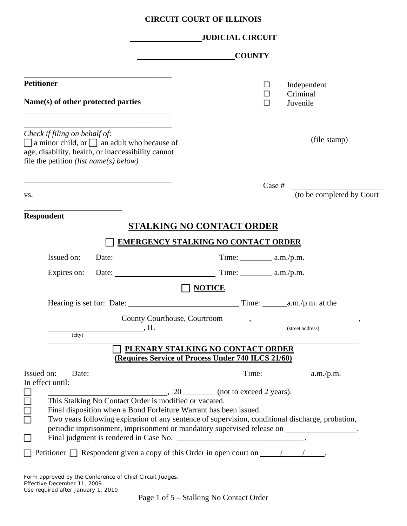# **CIRCUIT COURT OF ILLINOIS**

|                                                                                                                                                                                          |                                                                                                                                                                       | <b>JUDICIAL CIRCUIT</b>                            |               |                                                                                          |
|------------------------------------------------------------------------------------------------------------------------------------------------------------------------------------------|-----------------------------------------------------------------------------------------------------------------------------------------------------------------------|----------------------------------------------------|---------------|------------------------------------------------------------------------------------------|
|                                                                                                                                                                                          |                                                                                                                                                                       |                                                    | <b>COUNTY</b> |                                                                                          |
| <b>Petitioner</b>                                                                                                                                                                        |                                                                                                                                                                       |                                                    | $\Box$<br>□   | Independent<br>Criminal                                                                  |
| Name(s) of other protected parties                                                                                                                                                       |                                                                                                                                                                       |                                                    | □             | Juvenile                                                                                 |
| Check if filing on behalf of:<br>$\Box$ a minor child, or $\Box$ an adult who because of<br>age, disability, health, or inaccessibility cannot<br>file the petition (list name(s) below) |                                                                                                                                                                       |                                                    |               | (file stamp)                                                                             |
| VS.                                                                                                                                                                                      |                                                                                                                                                                       |                                                    | Case #        | (to be completed by Court                                                                |
| <b>Respondent</b>                                                                                                                                                                        |                                                                                                                                                                       | <b>STALKING NO CONTACT ORDER</b>                   |               |                                                                                          |
|                                                                                                                                                                                          |                                                                                                                                                                       | <b>EMERGENCY STALKING NO CONTACT ORDER</b>         |               |                                                                                          |
| Issued on:                                                                                                                                                                               |                                                                                                                                                                       |                                                    |               |                                                                                          |
| Expires on:                                                                                                                                                                              |                                                                                                                                                                       |                                                    |               |                                                                                          |
|                                                                                                                                                                                          |                                                                                                                                                                       | <b>NOTICE</b>                                      |               |                                                                                          |
|                                                                                                                                                                                          |                                                                                                                                                                       |                                                    |               |                                                                                          |
|                                                                                                                                                                                          |                                                                                                                                                                       |                                                    |               |                                                                                          |
| (city)                                                                                                                                                                                   | $\mathbf{L}$                                                                                                                                                          |                                                    |               | (street address)                                                                         |
|                                                                                                                                                                                          | PLENARY STALKING NO CONTACT ORDER                                                                                                                                     |                                                    |               |                                                                                          |
|                                                                                                                                                                                          |                                                                                                                                                                       | (Requires Service of Process Under 740 ILCS 21/60) |               |                                                                                          |
| Issued on:<br>In effect until:                                                                                                                                                           |                                                                                                                                                                       |                                                    |               |                                                                                          |
|                                                                                                                                                                                          | . 20 (not to exceed 2 years).<br>This Stalking No Contact Order is modified or vacated.                                                                               |                                                    |               |                                                                                          |
| 88<br>88                                                                                                                                                                                 |                                                                                                                                                                       |                                                    |               |                                                                                          |
|                                                                                                                                                                                          | Final disposition when a Bond Forfeiture Warrant has been issued.<br>Two years following expiration of any sentence of supervision, conditional discharge, probation, |                                                    |               |                                                                                          |
|                                                                                                                                                                                          |                                                                                                                                                                       |                                                    |               | periodic imprisonment, imprisonment or mandatory supervised release on ________________. |
| $\Box$                                                                                                                                                                                   |                                                                                                                                                                       |                                                    |               |                                                                                          |
| $\Box$ Petitioner $\Box$ Respondent given a copy of this Order in open court on $\Box$                                                                                                   |                                                                                                                                                                       |                                                    |               |                                                                                          |
| Form approved by the Conference of Chief Circuit Judges.<br>Effective December 11, 2009<br>Use required after January 1, 2010                                                            |                                                                                                                                                                       |                                                    |               |                                                                                          |

Page 1 of 5 – Stalking No Contact Order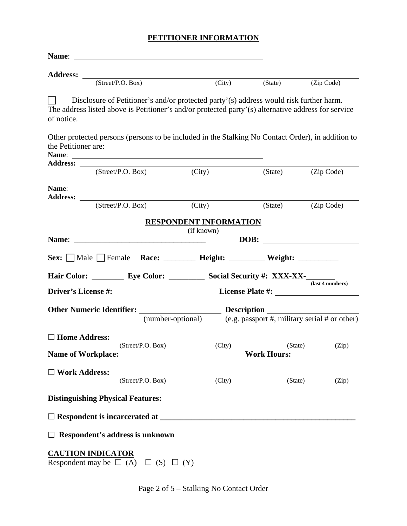# **PETITIONER INFORMATION**

| (Street/P.O. Box)                                                                                                                                                                                           | (City)                                                          | (State) | (Zip Code)       |
|-------------------------------------------------------------------------------------------------------------------------------------------------------------------------------------------------------------|-----------------------------------------------------------------|---------|------------------|
| Disclosure of Petitioner's and/or protected party'(s) address would risk further harm.<br>The address listed above is Petitioner's and/or protected party'(s) alternative address for service<br>of notice. |                                                                 |         |                  |
| Other protected persons (persons to be included in the Stalking No Contact Order), in addition to<br>the Petitioner are:                                                                                    |                                                                 |         |                  |
| (Street/P.O. Box)                                                                                                                                                                                           | (City)                                                          | (State) | (Zip Code)       |
| Address: _____<br>(Street/P.O. Box)                                                                                                                                                                         | (City)                                                          | (State) | (Zip Code)       |
|                                                                                                                                                                                                             |                                                                 |         |                  |
|                                                                                                                                                                                                             | <b>RESPONDENT INFORMATION</b>                                   |         |                  |
|                                                                                                                                                                                                             | (if known)                                                      | DOB:    |                  |
| Sex: Male Female Race: _______ Height: _______ Weight: ________                                                                                                                                             |                                                                 |         |                  |
|                                                                                                                                                                                                             |                                                                 |         |                  |
|                                                                                                                                                                                                             |                                                                 |         |                  |
|                                                                                                                                                                                                             |                                                                 |         | (last 4 numbers) |
|                                                                                                                                                                                                             |                                                                 |         |                  |
|                                                                                                                                                                                                             | (number-optional) (e.g. passport #, military serial # or other) |         |                  |
|                                                                                                                                                                                                             |                                                                 |         |                  |
| $\Box$ Home Address: $\Box$<br>(Street/P.O. Box)                                                                                                                                                            | (City)                                                          | (State) | (Zip)            |
|                                                                                                                                                                                                             |                                                                 |         |                  |
| $\Box$ Work Address:                                                                                                                                                                                        |                                                                 |         |                  |
| (Street/P.O. Box)                                                                                                                                                                                           | $\overline{\text{(City)}}$                                      |         | (State)<br>(Zip) |
|                                                                                                                                                                                                             |                                                                 |         |                  |
|                                                                                                                                                                                                             |                                                                 |         |                  |
| $\Box$ Respondent's address is unknown                                                                                                                                                                      |                                                                 |         |                  |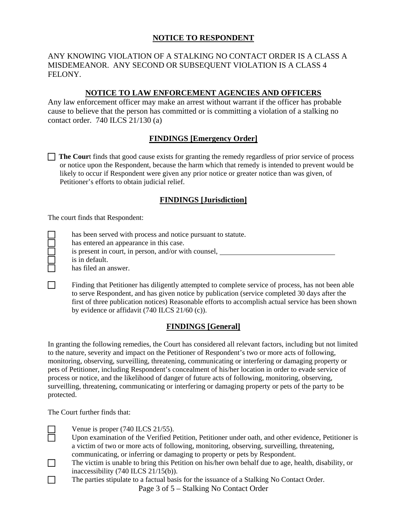## **NOTICE TO RESPONDENT**

#### ANY KNOWING VIOLATION OF A STALKING NO CONTACT ORDER IS A CLASS A MISDEMEANOR. ANY SECOND OR SUBSEQUENT VIOLATION IS A CLASS 4 FELONY.

#### **NOTICE TO LAW ENFORCEMENT AGENCIES AND OFFICERS**

Any law enforcement officer may make an arrest without warrant if the officer has probable cause to believe that the person has committed or is committing a violation of a stalking no contact order. 740 ILCS 21/130 (a)

#### **FINDINGS [Emergency Order]**

**The Court** finds that good cause exists for granting the remedy regardless of prior service of process or notice upon the Respondent, because the harm which that remedy is intended to prevent would be likely to occur if Respondent were given any prior notice or greater notice than was given, of Petitioner's efforts to obtain judicial relief.

#### **FINDINGS [Jurisdiction]**

The court finds that Respondent:

has been served with process and notice pursuant to statute.

has entered an appearance in this case.

 is present in court, in person, and/or with counsel, is in default. has filed an answer.

Finding that Petitioner has diligently attempted to complete service of process, has not been able to serve Respondent, and has given notice by publication (service completed 30 days after the first of three publication notices) Reasonable efforts to accomplish actual service has been shown by evidence or affidavit (740 ILCS 21/60 (c)).

## **FINDINGS [General]**

In granting the following remedies, the Court has considered all relevant factors, including but not limited to the nature, severity and impact on the Petitioner of Respondent's two or more acts of following, monitoring, observing, surveilling, threatening, communicating or interfering or damaging property or pets of Petitioner, including Respondent's concealment of his/her location in order to evade service of process or notice, and the likelihood of danger of future acts of following, monitoring, observing, surveilling, threatening, communicating or interfering or damaging property or pets of the party to be protected.

The Court further finds that:

- Venue is proper (740 ILCS 21/55).<br>Upon examination of the Verified F Upon examination of the Verified Petition, Petitioner under oath, and other evidence, Petitioner is a victim of two or more acts of following, monitoring, observing, surveilling, threatening, communicating, or inferring or damaging to property or pets by Respondent.
- The victim is unable to bring this Petition on his/her own behalf due to age, health, disability, or inaccessibility (740 ILCS 21/15(b)).
- Page 3 of 5 Stalking No Contact Order The parties stipulate to a factual basis for the issuance of a Stalking No Contact Order.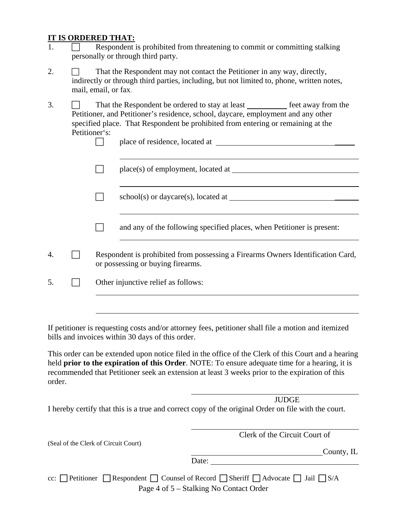#### **IT IS ORDERED THAT:**

- 1. Respondent is prohibited from threatening to commit or committing stalking personally or through third party.
- 2.  $\Box$  That the Respondent may not contact the Petitioner in any way, directly, indirectly or through third parties, including, but not limited to, phone, written notes, mail, email, or fax.
- 3.  $\Box$  That the Respondent be ordered to stay at least  $\Box$  feet away from the Petitioner, and Petitioner's residence, school, daycare, employment and any other specified place. That Respondent be prohibited from entering or remaining at the Petitioner's:

| place of residence, located at |  |
|--------------------------------|--|
|                                |  |

 place(s) of employment, located at  $\overline{a}$ 

school(s) or daycare(s), located at \_\_\_\_\_\_

 $\Box$  and any of the following specified places, when Petitioner is present:

4. Respondent is prohibited from possessing a Firearms Owners Identification Card, or possessing or buying firearms.

 $5. \qquad \Box$  Other injunctive relief as follows:

If petitioner is requesting costs and/or attorney fees, petitioner shall file a motion and itemized bills and invoices within 30 days of this order.

This order can be extended upon notice filed in the office of the Clerk of this Court and a hearing held **prior to the expiration of this Order**. NOTE: To ensure adequate time for a hearing, it is recommended that Petitioner seek an extension at least 3 weeks prior to the expiration of this order.

 JUDGE I hereby certify that this is a true and correct copy of the original Order on file with the court.

 Clerk of the Circuit Court of (Seal of the Clerk of Circuit Court) **County**, IL Date: cc:  $\Box$  Petitioner  $\Box$  Respondent  $\Box$  Counsel of Record  $\Box$  Sheriff  $\Box$  Advocate  $\Box$  Jail  $\Box$  S/A

Page 4 of 5 – Stalking No Contact Order